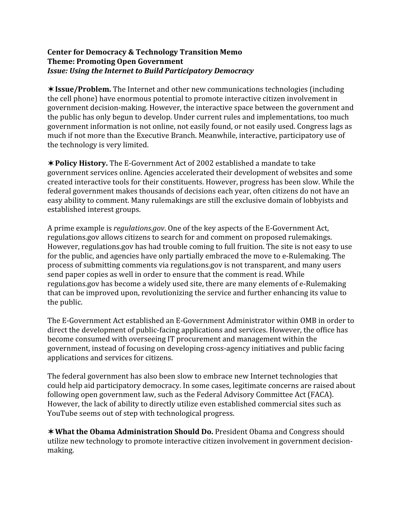## **Center
for
Democracy
&
Technology
Transition
Memo Theme:
Promoting
Open
Government** *Issue:
Using
the
Internet
to
Build
Participatory
Democracy*

**Issue/Problem.** The
Internet
and
other
new
communications
technologies (including the
cell
phone)
have
enormous
potential
to
promote
interactive
citizen
involvement
in government
decision‐making. However,
the
interactive
space
between
the
government
and the
public
has
only
begun
to
develop.
Under
current
rules
and
implementations,
too
much government information is not online, not easily found, or not easily used. Congress lags as much
if
not
more
than
the
Executive
Branch. Meanwhile,
interactive,
participatory
use
of the
technology
is
very
limited.

**★Policy History.** The E-Government Act of 2002 established a mandate to take government
services
online.
Agencies
accelerated
their
development
of
websites
and
some created
interactive
tools
for
their
constituents.
However,
progress
has
been
slow. While
the federal government makes thousands of decisions each year, often citizens do not have an easy ability to comment. Many rulemakings are still the exclusive domain of lobbyists and established
interest
groups.

A prime example is *regulations.gov*. One of the key aspects of the E-Government Act, regulations.gov
allows
citizens
to
search
for
and
comment
on
proposed
rulemakings. However, regulations.gov has had trouble coming to full fruition. The site is not easy to use for the public, and agencies have only partially embraced the move to e-Rulemaking. The process
of
submitting
comments
via
regulations.gov
is
not
transparent,
and
many
users send
paper
copies
as
well
in
order
to
ensure
that
the
comment
is
read.
While regulations.gov
has
become
a
widely
used
site,
there
are
many
elements
of
e‐Rulemaking that can be improved upon, revolutionizing the service and further enhancing its value to the
public.

The E-Government Act established an E-Government Administrator within OMB in order to direct the development of public-facing applications and services. However, the office has become
consumed
with
overseeing
IT
procurement
and
management
within
the government,
instead
of
focusing
on
developing
cross‐agency
initiatives
and
public
facing applications
and
services
for
citizens.

The
federal
government
has
also
been
slow
to
embrace
new
Internet
technologies
that could
help
aid
participatory
democracy. In
some
cases,
legitimate
concerns
are
raised
about following
open
government
law,
such
as
the
Federal
Advisory
Committee
Act
(FACA). However,
the
lack
of
ability
to
directly
utilize
even
established
commercial
sites
such
as YouTube
seems
out
of
step
with
technological
progress.

**\*What the Obama Administration Should Do.** President Obama and Congress should utilize new technology to promote interactive citizen involvement in government decisionmaking.